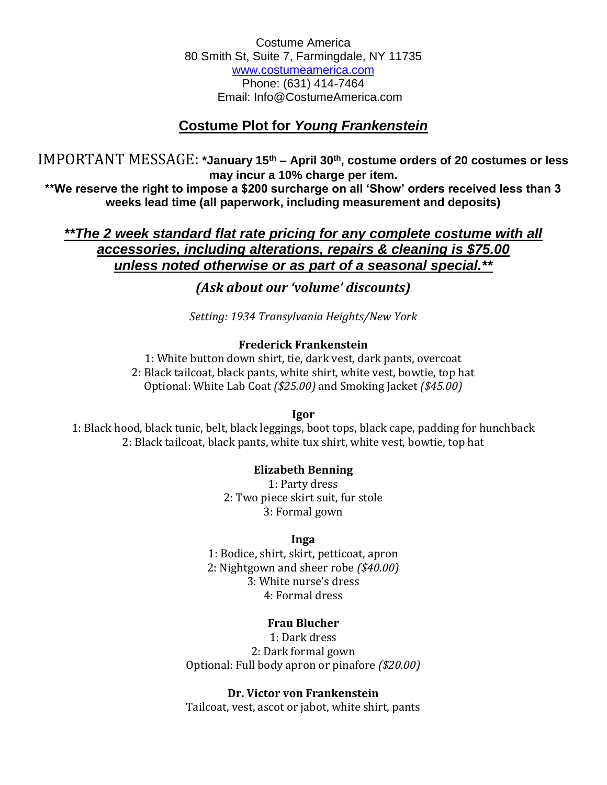Costume America 80 Smith St, Suite 7, Farmingdale, NY 11735 www.costumeamerica.com Phone: (631) 414-7464 Email: Info@CostumeAmerica.com

# **Costume Plot for** *Young Frankenstein*

IMPORTANT MESSAGE: **\*January 15th – April 30th, costume orders of 20 costumes or less may incur a 10% charge per item.**

**\*\*We reserve the right to impose a \$200 surcharge on all 'Show' orders received less than 3 weeks lead time (all paperwork, including measurement and deposits)**

*\*\*The 2 week standard flat rate pricing for any complete costume with all accessories, including alterations, repairs & cleaning is \$75.00 unless noted otherwise or as part of a seasonal special.\*\**

# *(Ask about our 'volume' discounts)*

*Setting: 1934 Transylvania Heights/New York*

## **Frederick Frankenstein**

1: White button down shirt, tie, dark vest, dark pants, overcoat 2: Black tailcoat, black pants, white shirt, white vest, bowtie, top hat Optional: White Lab Coat *(\$25.00)* and Smoking Jacket *(\$45.00)*

**Igor**

1: Black hood, black tunic, belt, black leggings, boot tops, black cape, padding for hunchback 2: Black tailcoat, black pants, white tux shirt, white vest, bowtie, top hat

## **Elizabeth Benning**

1: Party dress 2: Two piece skirt suit, fur stole 3: Formal gown

## **Inga**

1: Bodice, shirt, skirt, petticoat, apron 2: Nightgown and sheer robe *(\$40.00)* 3: White nurse's dress 4: Formal dress

## **Frau Blucher**

1: Dark dress 2: Dark formal gown Optional: Full body apron or pinafore *(\$20.00)*

## **Dr. Victor von Frankenstein**

Tailcoat, vest, ascot or jabot, white shirt, pants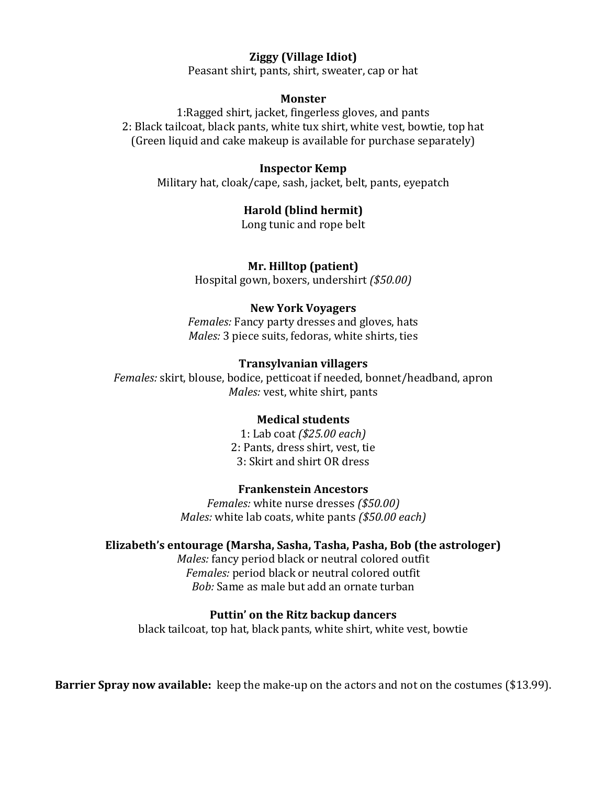## **Ziggy (Village Idiot)**

Peasant shirt, pants, shirt, sweater, cap or hat

#### **Monster**

1:Ragged shirt, jacket, fingerless gloves, and pants 2: Black tailcoat, black pants, white tux shirt, white vest, bowtie, top hat (Green liquid and cake makeup is available for purchase separately)

#### **Inspector Kemp**

Military hat, cloak/cape, sash, jacket, belt, pants, eyepatch

#### **Harold (blind hermit)**

Long tunic and rope belt

#### **Mr. Hilltop (patient)**

Hospital gown, boxers, undershirt *(\$50.00)*

#### **New York Voyagers**

*Females:* Fancy party dresses and gloves, hats *Males:* 3 piece suits, fedoras, white shirts, ties

#### **Transylvanian villagers**

*Females:* skirt, blouse, bodice, petticoat if needed, bonnet/headband, apron *Males:* vest, white shirt, pants

### **Medical students**

1: Lab coat *(\$25.00 each)* 2: Pants, dress shirt, vest, tie 3: Skirt and shirt OR dress

#### **Frankenstein Ancestors**

*Females:* white nurse dresses *(\$50.00) Males:* white lab coats, white pants *(\$50.00 each)*

### **Elizabeth's entourage (Marsha, Sasha, Tasha, Pasha, Bob (the astrologer)**

*Males:* fancy period black or neutral colored outfit *Females:* period black or neutral colored outfit *Bob:* Same as male but add an ornate turban

#### **Puttin' on the Ritz backup dancers**

black tailcoat, top hat, black pants, white shirt, white vest, bowtie

**Barrier Spray now available:** keep the make-up on the actors and not on the costumes (\$13.99).